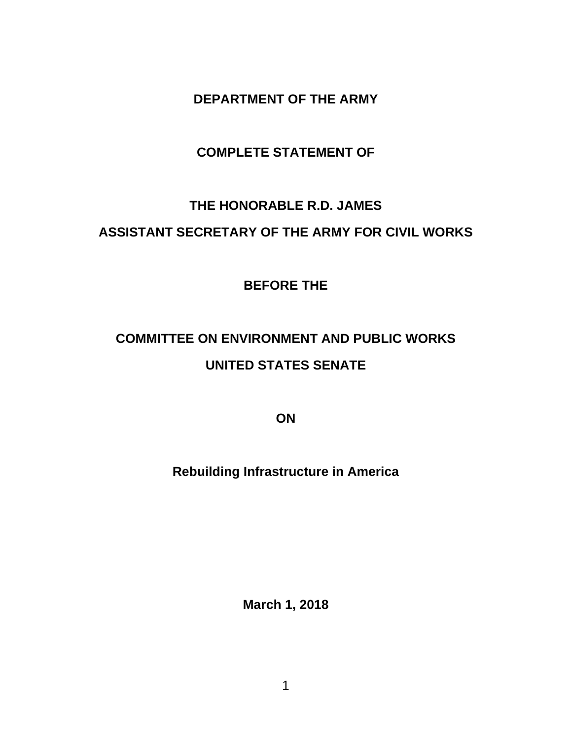**DEPARTMENT OF THE ARMY** 

## **COMPLETE STATEMENT OF**

## **THE HONORABLE R.D. JAMES ASSISTANT SECRETARY OF THE ARMY FOR CIVIL WORKS**

**BEFORE THE**

## **COMMITTEE ON ENVIRONMENT AND PUBLIC WORKS UNITED STATES SENATE**

**ON**

**Rebuilding Infrastructure in America**

**March 1, 2018**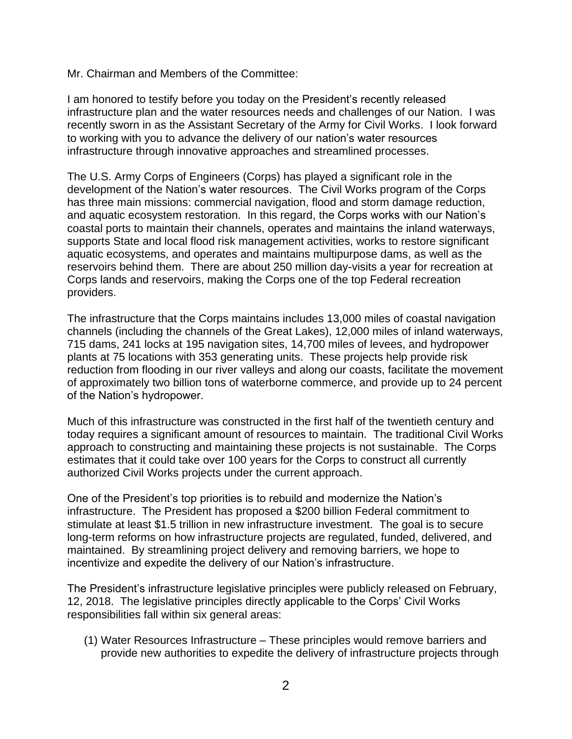Mr. Chairman and Members of the Committee:

I am honored to testify before you today on the President's recently released infrastructure plan and the water resources needs and challenges of our Nation. I was recently sworn in as the Assistant Secretary of the Army for Civil Works. I look forward to working with you to advance the delivery of our nation's water resources infrastructure through innovative approaches and streamlined processes.

The U.S. Army Corps of Engineers (Corps) has played a significant role in the development of the Nation's water resources. The Civil Works program of the Corps has three main missions: commercial navigation, flood and storm damage reduction, and aquatic ecosystem restoration. In this regard, the Corps works with our Nation's coastal ports to maintain their channels, operates and maintains the inland waterways, supports State and local flood risk management activities, works to restore significant aquatic ecosystems, and operates and maintains multipurpose dams, as well as the reservoirs behind them. There are about 250 million day-visits a year for recreation at Corps lands and reservoirs, making the Corps one of the top Federal recreation providers.

The infrastructure that the Corps maintains includes 13,000 miles of coastal navigation channels (including the channels of the Great Lakes), 12,000 miles of inland waterways, 715 dams, 241 locks at 195 navigation sites, 14,700 miles of levees, and hydropower plants at 75 locations with 353 generating units. These projects help provide risk reduction from flooding in our river valleys and along our coasts, facilitate the movement of approximately two billion tons of waterborne commerce, and provide up to 24 percent of the Nation's hydropower.

Much of this infrastructure was constructed in the first half of the twentieth century and today requires a significant amount of resources to maintain. The traditional Civil Works approach to constructing and maintaining these projects is not sustainable. The Corps estimates that it could take over 100 years for the Corps to construct all currently authorized Civil Works projects under the current approach.

One of the President's top priorities is to rebuild and modernize the Nation's infrastructure. The President has proposed a \$200 billion Federal commitment to stimulate at least \$1.5 trillion in new infrastructure investment. The goal is to secure long-term reforms on how infrastructure projects are regulated, funded, delivered, and maintained. By streamlining project delivery and removing barriers, we hope to incentivize and expedite the delivery of our Nation's infrastructure.

The President's infrastructure legislative principles were publicly released on February, 12, 2018. The legislative principles directly applicable to the Corps' Civil Works responsibilities fall within six general areas:

(1) Water Resources Infrastructure – These principles would remove barriers and provide new authorities to expedite the delivery of infrastructure projects through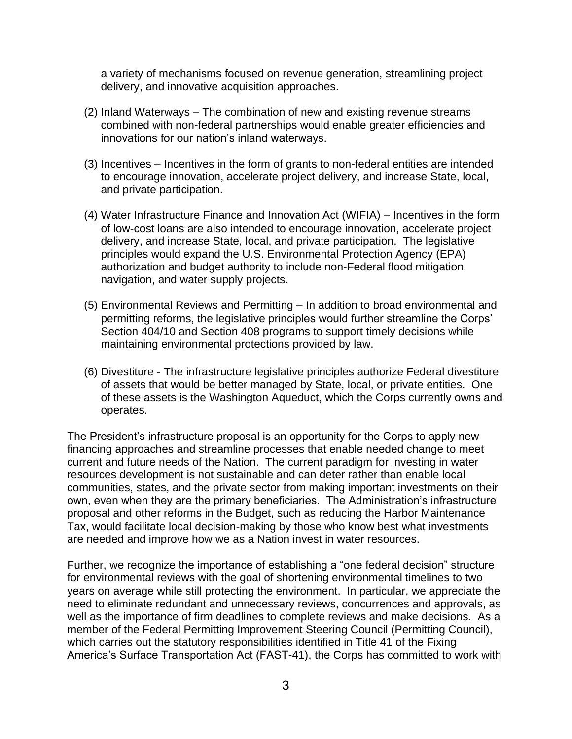a variety of mechanisms focused on revenue generation, streamlining project delivery, and innovative acquisition approaches.

- (2) Inland Waterways The combination of new and existing revenue streams combined with non-federal partnerships would enable greater efficiencies and innovations for our nation's inland waterways.
- (3) Incentives Incentives in the form of grants to non-federal entities are intended to encourage innovation, accelerate project delivery, and increase State, local, and private participation.
- (4) Water Infrastructure Finance and Innovation Act (WIFIA) Incentives in the form of low-cost loans are also intended to encourage innovation, accelerate project delivery, and increase State, local, and private participation. The legislative principles would expand the U.S. Environmental Protection Agency (EPA) authorization and budget authority to include non-Federal flood mitigation, navigation, and water supply projects.
- (5) Environmental Reviews and Permitting In addition to broad environmental and permitting reforms, the legislative principles would further streamline the Corps' Section 404/10 and Section 408 programs to support timely decisions while maintaining environmental protections provided by law.
- (6) Divestiture The infrastructure legislative principles authorize Federal divestiture of assets that would be better managed by State, local, or private entities. One of these assets is the Washington Aqueduct, which the Corps currently owns and operates.

The President's infrastructure proposal is an opportunity for the Corps to apply new financing approaches and streamline processes that enable needed change to meet current and future needs of the Nation. The current paradigm for investing in water resources development is not sustainable and can deter rather than enable local communities, states, and the private sector from making important investments on their own, even when they are the primary beneficiaries. The Administration's infrastructure proposal and other reforms in the Budget, such as reducing the Harbor Maintenance Tax, would facilitate local decision-making by those who know best what investments are needed and improve how we as a Nation invest in water resources.

Further, we recognize the importance of establishing a "one federal decision" structure for environmental reviews with the goal of shortening environmental timelines to two years on average while still protecting the environment. In particular, we appreciate the need to eliminate redundant and unnecessary reviews, concurrences and approvals, as well as the importance of firm deadlines to complete reviews and make decisions. As a member of the Federal Permitting Improvement Steering Council (Permitting Council), which carries out the statutory responsibilities identified in Title 41 of the Fixing America's Surface Transportation Act (FAST-41), the Corps has committed to work with